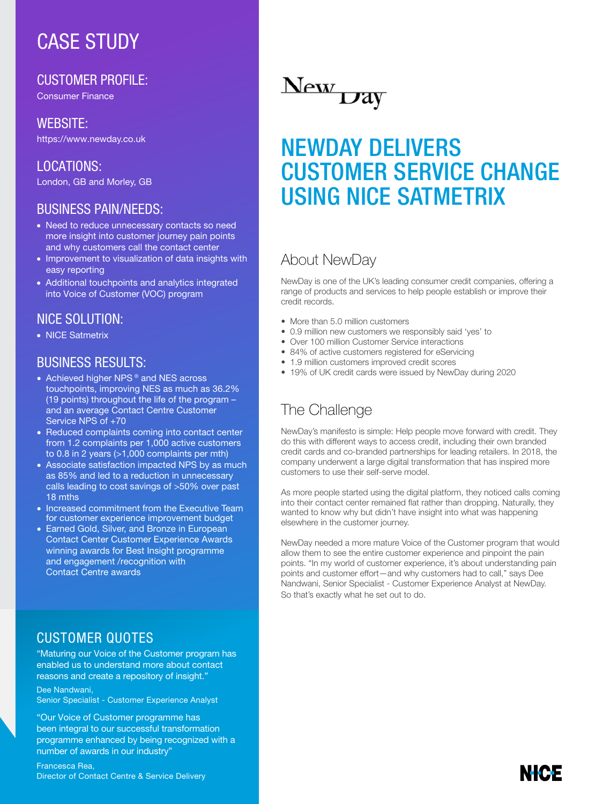# CASE STUDY

CUSTOMER PROFILE:

Consumer Finance

#### WEBSITE:

https://www.newday.co.uk

LOCATIONS: London, GB and Morley, GB

#### BUSINESS PAIN/NEEDS:

- Need to reduce unnecessary contacts so need more insight into customer journey pain points and why customers call the contact center
- Improvement to visualization of data insights with easy reporting
- Additional touchpoints and analytics integrated into Voice of Customer (VOC) program

#### NICE SOLUTION:

• NICE Satmetrix

#### **BUSINESS RESULTS:**

- Achieved higher NPS ® and NES across touchpoints, improving NES as much as 36.2% (19 points) throughout the life of the program – and an average Contact Centre Customer Service NPS of +70
- Reduced complaints coming into contact center from 1.2 complaints per 1,000 active customers to 0.8 in 2 years (>1,000 complaints per mth)
- Associate satisfaction impacted NPS by as much as 85% and led to a reduction in unnecessary calls leading to cost savings of >50% over past 18 mths
- Increased commitment from the Executive Team for customer experience improvement budget
- Earned Gold, Silver, and Bronze in European Contact Center Customer Experience Awards winning awards for Best Insight programme and engagement /recognition with Contact Centre awards

### CUSTOMER QUOTES

"Maturing our Voice of the Customer program has enabled us to understand more about contact reasons and create a repository of insight."

#### Dee Nandwani, Senior Specialist - Customer Experience Analyst

"Our Voice of Customer programme has been integral to our successful transformation programme enhanced by being recognized with a number of awards in our industry"

Francesca Rea, Director of Contact Centre & Service Delivery

New Day

# NEWDAY DELIVERS CUSTOMER SERVICE CHANGE USING NICE SATMETRIX

### About NewDay

NewDay is one of the UK's leading consumer credit companies, offering a range of products and services to help people establish or improve their credit records.

- More than 5.0 million customers
- 0.9 million new customers we responsibly said 'yes' to
- Over 100 million Customer Service interactions
- 84% of active customers registered for eServicing
- 1.9 million customers improved credit scores
- 19% of UK credit cards were issued by NewDay during 2020

# The Challenge

NewDay's manifesto is simple: Help people move forward with credit. They do this with different ways to access credit, including their own branded credit cards and co-branded partnerships for leading retailers. In 2018, the company underwent a large digital transformation that has inspired more customers to use their self-serve model.

As more people started using the digital platform, they noticed calls coming into their contact center remained flat rather than dropping. Naturally, they wanted to know why but didn't have insight into what was happening elsewhere in the customer journey.

NewDay needed a more mature Voice of the Customer program that would allow them to see the entire customer experience and pinpoint the pain points. "In my world of customer experience, it's about understanding pain points and customer effort—and why customers had to call," says Dee Nandwani, Senior Specialist - Customer Experience Analyst at NewDay. So that's exactly what he set out to do.

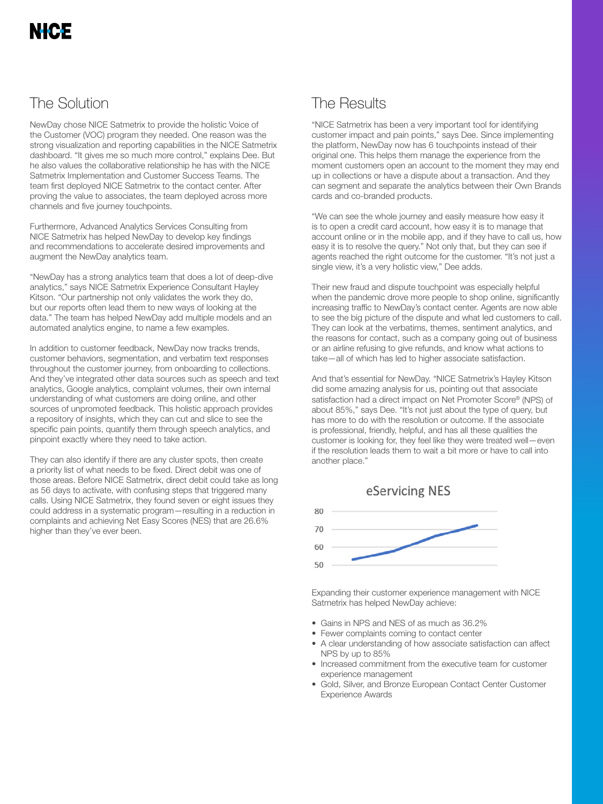## The Solution

NewDay chose NICE Satmetrix to provide the holistic Voice of the Customer (VOC) program they needed. One reason was the strong visualization and reporting capabilities in the NICE Satmetrix dashboard. "It gives me so much more control," explains Dee. But he also values the collaborative relationship he has with the NICE Satmetrix Implementation and Customer Success Teams. The team first deployed NICE Satmetrix to the contact center. After proving the value to associates, the team deployed across more channels and five journey touchpoints.

Furthermore, Advanced Analytics Services Consulting from NICE Satmetrix has helped NewDay to develop key findings and recommendations to accelerate desired improvements and augment the NewDay analytics team.

"NewDay has a strong analytics team that does a lot of deep-dive analytics," says NICE Satmetrix Experience Consultant Hayley Kitson. "Our partnership not only validates the work they do, but our reports often lead them to new ways of looking at the data." The team has helped NewDay add multiple models and an automated analytics engine, to name a few examples.

In addition to customer feedback, NewDay now tracks trends, customer behaviors, segmentation, and verbatim text responses throughout the customer journey, from onboarding to collections. And they've integrated other data sources such as speech and text analytics, Google analytics, complaint volumes, their own internal understanding of what customers are doing online, and other sources of unpromoted feedback. This holistic approach provides a repository of insights, which they can cut and slice to see the specific pain points, quantify them through speech analytics, and pinpoint exactly where they need to take action.

They can also identify if there are any cluster spots, then create a priority list of what needs to be fixed. Direct debit was one of those areas. Before NICE Satmetrix, direct debit could take as long as 56 days to activate, with confusing steps that triggered many calls. Using NICE Satmetrix, they found seven or eight issues they could address in a systematic program—resulting in a reduction in complaints and achieving Net Easy Scores (NES) that are 26.6% higher than they've ever been.

# The Results

"NICE Satmetrix has been a very important tool for identifying customer impact and pain points," says Dee. Since implementing the platform, NewDay now has 6 touchpoints instead of their original one. This helps them manage the experience from the moment customers open an account to the moment they may end up in collections or have a dispute about a transaction. And they can segment and separate the analytics between their Own Brands cards and co-branded products.

"We can see the whole journey and easily measure how easy it is to open a credit card account, how easy it is to manage that account online or in the mobile app, and if they have to call us, how easy it is to resolve the query." Not only that, but they can see if agents reached the right outcome for the customer. "It's not just a single view, it's a very holistic view," Dee adds.

Their new fraud and dispute touchpoint was especially helpful when the pandemic drove more people to shop online, significantly increasing traffic to NewDay's contact center. Agents are now able to see the big picture of the dispute and what led customers to call. They can look at the verbatims, themes, sentiment analytics, and the reasons for contact, such as a company going out of business or an airline refusing to give refunds, and know what actions to take—all of which has led to higher associate satisfaction.

And that's essential for NewDay. "NICE Satmetrix's Hayley Kitson did some amazing analysis for us, pointing out that associate satisfaction had a direct impact on Net Promoter Score® (NPS) of about 85%," says Dee. "It's not just about the type of query, but has more to do with the resolution or outcome. If the associate is professional, friendly, helpful, and has all these qualities the customer is looking for, they feel like they were treated well—even if the resolution leads them to wait a bit more or have to call into another place."





Expanding their customer experience management with NICE Satmetrix has helped NewDay achieve:

- Gains in NPS and NES of as much as 36.2%
- Fewer complaints coming to contact center
- A clear understanding of how associate satisfaction can affect NPS by up to 85%
- Increased commitment from the executive team for customer experience management
- Gold, Silver, and Bronze European Contact Center Customer Experience Awards